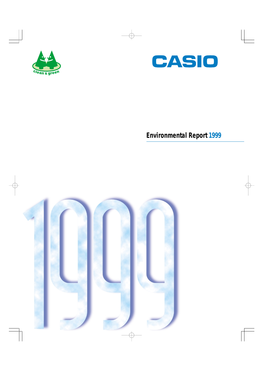



# **Environmental Report 1999**

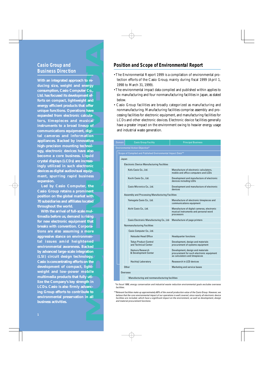## **Casio Group and Business Direction**

**With an integrated approach to reducing size, weight and energy consumption, Casio Computer Co., Ltd. has focused its development efforts on compact, lightweight and energy efficient products that offer unique functions. Operations have expanded from electronic calculators, timepieces and musical instruments to a broad lineup of communications equipment, digital cameras and information appliances. Backed by innovative high-precision mounting technology, electronic devices have also become a core business. Liquid crystal displays (LCDs) are increasingly utilized in such electronic devices as digital audiovisual equipment, spurring rapid business expansion.**

**Led by Casio Computer, the Casio Group retains a prominent position on the global market with 70 subsidiaries and affiliates located throughout the world.**

**With the arrival of full-scale multimedia before us, demand is rising for new electronic equipment that breaks with convention. Corporations are also assuming a more aggressive stance on environmental issues amid heightened environmental awareness. Backed by advanced large-scale integration (LSI) circuit design technology, Casio is concentrating efforts on the development of compact, lightweight and low-power mobile multimedia products that fully utilize the Company's key strength in LCDs. Casio is also firmly advancing Group efforts to contribute to environmental preservation in all business activities.**

- The Environmental Report 1999 is a compilation of environmental protection efforts of the Casio Group, mainly during fiscal 1999 (April 1, 1998 to March 31, 1999).
- The environmental impact data compiled and published within applies to six manufacturing and four nonmanufacturing facilities in Japan, as stated below.
- Casio Group facilities are broadly categorized as manufacturing and nonmanufacturing. Manufacturing facilities comprise assembly and processing facilities for electronic equipment, and manufacturing facilities for LCDs and other electronic devices. Electronic device facilities generally have a greater impact on the environment owing to heavier energy usage and industrial waste generation.

|                                                                                                                                                      |               | <b>Position and Scope of Environmental Report</b>                                              |                                                                                                                                                                                                                                                                                                                                                                                                                                                                                                                                                                                                                                                                                                       |  |  |  |  |
|------------------------------------------------------------------------------------------------------------------------------------------------------|---------------|------------------------------------------------------------------------------------------------|-------------------------------------------------------------------------------------------------------------------------------------------------------------------------------------------------------------------------------------------------------------------------------------------------------------------------------------------------------------------------------------------------------------------------------------------------------------------------------------------------------------------------------------------------------------------------------------------------------------------------------------------------------------------------------------------------------|--|--|--|--|
| ich to re-<br>l energy<br>uter Co.,<br>oment ef-<br>eight and<br>that offer<br>ions have<br>calcula-<br>musical<br>ineup of<br>ent, digi-<br>rmation | below.        | 1998 to March 31, 1999).<br>and industrial waste generation.                                   | • The Environmental Report 1999 is a compilation of environmental pro-<br>tection efforts of the Casio Group, mainly during fiscal 1999 (April 1,<br>• The environmental impact data compiled and published within applies to<br>six manufacturing and four nonmanufacturing facilities in Japan, as stated<br>• Casio Group facilities are broadly categorized as manufacturing and<br>nonmanufacturing. Manufacturing facilities comprise assembly and pro-<br>cessing facilities for electronic equipment, and manufacturing facilities for<br>LCDs and other electronic devices. Electronic device facilities generally<br>have a greater impact on the environment owing to heavier energy usage |  |  |  |  |
| novative                                                                                                                                             | <b>Domain</b> | <b>Casio Group Facility</b>                                                                    | <b>Principal Business</b>                                                                                                                                                                                                                                                                                                                                                                                                                                                                                                                                                                                                                                                                             |  |  |  |  |
| technol-<br><b>ave</b> also                                                                                                                          |               | Environmental Action Objective*<br>Scope of Compiled and Published Environmental Impact Data** |                                                                                                                                                                                                                                                                                                                                                                                                                                                                                                                                                                                                                                                                                                       |  |  |  |  |
| . Liquid                                                                                                                                             | Japan         |                                                                                                |                                                                                                                                                                                                                                                                                                                                                                                                                                                                                                                                                                                                                                                                                                       |  |  |  |  |
| e increas-                                                                                                                                           |               | <b>Electronic Device Manufacturing Facilities</b>                                              |                                                                                                                                                                                                                                                                                                                                                                                                                                                                                                                                                                                                                                                                                                       |  |  |  |  |
| lectronic                                                                                                                                            |               | Kofu Casio Co., Ltd.                                                                           | Manufacture of electronic calculators,                                                                                                                                                                                                                                                                                                                                                                                                                                                                                                                                                                                                                                                                |  |  |  |  |
| al equip-<br><b>business</b>                                                                                                                         |               |                                                                                                | mobile and office computers and LCDs                                                                                                                                                                                                                                                                                                                                                                                                                                                                                                                                                                                                                                                                  |  |  |  |  |
|                                                                                                                                                      |               | Kochi Casio Co., Ltd.                                                                          | Development and manufacture of electronic<br>devices including LCDs                                                                                                                                                                                                                                                                                                                                                                                                                                                                                                                                                                                                                                   |  |  |  |  |
| iter, the                                                                                                                                            |               | Casio Micronics Co., Ltd.                                                                      | Development and manufacture of electronic<br>devices                                                                                                                                                                                                                                                                                                                                                                                                                                                                                                                                                                                                                                                  |  |  |  |  |
| ominent<br>rket with                                                                                                                                 |               | Assembly and Processing Manufacturing Facilities                                               |                                                                                                                                                                                                                                                                                                                                                                                                                                                                                                                                                                                                                                                                                                       |  |  |  |  |
| es located                                                                                                                                           |               | Yamagata Casio Co., Ltd.                                                                       | Manufacture of electronic timepieces and<br>communications equipment                                                                                                                                                                                                                                                                                                                                                                                                                                                                                                                                                                                                                                  |  |  |  |  |
| cale mul-<br>l is rising                                                                                                                             |               | Aichi Casio Co., Ltd.                                                                          | Manufacture of digital cameras, electronic<br>musical instruments and personal word<br>processors                                                                                                                                                                                                                                                                                                                                                                                                                                                                                                                                                                                                     |  |  |  |  |
| nent that                                                                                                                                            |               | Casio Electronic Manufacturing Co., Ltd.                                                       | Manufacture of page printers                                                                                                                                                                                                                                                                                                                                                                                                                                                                                                                                                                                                                                                                          |  |  |  |  |
| Corpora-                                                                                                                                             |               | <b>Nonmanufacturing Facilities</b>                                                             |                                                                                                                                                                                                                                                                                                                                                                                                                                                                                                                                                                                                                                                                                                       |  |  |  |  |
| a more                                                                                                                                               |               | Casio Computer Co., Ltd.                                                                       |                                                                                                                                                                                                                                                                                                                                                                                                                                                                                                                                                                                                                                                                                                       |  |  |  |  |
| ronmen-                                                                                                                                              |               | Hatsudai Head Office                                                                           | <b>Headquarter functions</b>                                                                                                                                                                                                                                                                                                                                                                                                                                                                                                                                                                                                                                                                          |  |  |  |  |
| ghtened<br>. Backed                                                                                                                                  |               | <b>Tokyo Product Control</b><br>and Technical Center                                           | Development, design and materials<br>procurement of systems equipment                                                                                                                                                                                                                                                                                                                                                                                                                                                                                                                                                                                                                                 |  |  |  |  |
| tegration<br>hnology,                                                                                                                                |               | Hamura Research<br>& Development Center                                                        | Development, design and materials<br>procurement for such electronic equipment<br>as calculators and timepieces                                                                                                                                                                                                                                                                                                                                                                                                                                                                                                                                                                                       |  |  |  |  |
| rts on the                                                                                                                                           |               | Hachioji Laboratory                                                                            | Reasearch in LCD devices                                                                                                                                                                                                                                                                                                                                                                                                                                                                                                                                                                                                                                                                              |  |  |  |  |
| $ct$ , light-                                                                                                                                        |               | Other                                                                                          | Marketing and service bases                                                                                                                                                                                                                                                                                                                                                                                                                                                                                                                                                                                                                                                                           |  |  |  |  |
| mobile                                                                                                                                               |               | Overseas                                                                                       |                                                                                                                                                                                                                                                                                                                                                                                                                                                                                                                                                                                                                                                                                                       |  |  |  |  |
| fully uti-                                                                                                                                           |               | Manufacturing and nonmanufacturing facilities                                                  |                                                                                                                                                                                                                                                                                                                                                                                                                                                                                                                                                                                                                                                                                                       |  |  |  |  |
| rength in                                                                                                                                            |               |                                                                                                | *In fiscal 1999, energy conservation and industrial waste reduction environmental goals excludes overseas                                                                                                                                                                                                                                                                                                                                                                                                                                                                                                                                                                                             |  |  |  |  |
| advanc-                                                                                                                                              | facilities.   |                                                                                                |                                                                                                                                                                                                                                                                                                                                                                                                                                                                                                                                                                                                                                                                                                       |  |  |  |  |
| ribute to<br>on in all                                                                                                                               |               | and material procurement functions.                                                            | **Relevant facilities make up approximately 60% of the overall production value of the Casio Group. However, we<br>believe that the core environmental impact of our operations is well covered, since nearly all electronic device<br>facilities are included, which have a significant impact on the environment, as well as development, desigr                                                                                                                                                                                                                                                                                                                                                    |  |  |  |  |
|                                                                                                                                                      |               |                                                                                                |                                                                                                                                                                                                                                                                                                                                                                                                                                                                                                                                                                                                                                                                                                       |  |  |  |  |

<sup>\*\*</sup>Relevant facilities make up approximately 60% of the overall production value of the Casio Group. However, we believe that the core environmental impact of our operations is well covered, since nearly all electronic device facilities are included, which have a significant impact on the environment, as well as development, design and material procurement functions.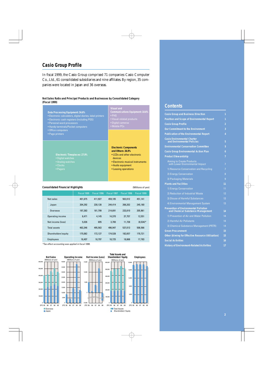## **Casio Group Profile**

In fiscal 1999, the Casio Group comprised 71 companies: Casio Computer Co., Ltd., 61 consolidated subsidiaries and nine affiliates. By region, 35 companies were located in Japan and 36 overseas.

#### **Net Sales Ratio and Principal Products and Businesses by Consolidated Category (Fiscal 1999)**



#### **Consolidated Financial Highlights** (Millions of yen)

Net sales 401,675 411,927 459,105 502,012 451,141 Japan 204,292 230,128 244,414 268,202 245,180 Overseas 197,383 181,799 214,691 233,810 205,961 Operating income 8,471 4,145 14,370 37,757 12,551 Net income (loss) 5,026 695 3,700 11,738 (8,534)\* Total assets 463,346 495,563 496,947 537,013 506,566 Shareholders'equity 175,082 172,127 174,528 182,657 170,721 Employees 18,407 18,797 18,725 18,668 17,783

\*Tax effect accounting was applied in fiscal 1999.



## **Contents**

| <b>Casio Group and Business Direction</b>                                         | 1              |  |  |  |  |
|-----------------------------------------------------------------------------------|----------------|--|--|--|--|
| <b>Position and Scope of Environmental Report</b>                                 |                |  |  |  |  |
| <b>Casio Group Profile</b>                                                        | $\overline{2}$ |  |  |  |  |
| <b>Our Commitment to the Environment</b>                                          | 3              |  |  |  |  |
| <b>Publication of the Environmental Report</b>                                    | 4              |  |  |  |  |
| <b>Casio Environmental Charter</b><br>and Environmental Policies                  | 5              |  |  |  |  |
| <b>Environmental Conservation Committee</b>                                       | 5              |  |  |  |  |
| <b>Casio Group Environmental Action Plan</b>                                      | 6              |  |  |  |  |
| <b>Product Stewardship</b>                                                        | 7              |  |  |  |  |
| <b>Aiming to Create Products</b><br>with Lower Environmental Impact               | 7              |  |  |  |  |
| 1) Resource Conservation and Recycling                                            | 7              |  |  |  |  |
| 2) Energy Conservation                                                            | 8              |  |  |  |  |
| 3) Packaging Materials                                                            | 9              |  |  |  |  |
| <b>Plants and Facilities</b>                                                      | 11             |  |  |  |  |
| 1) Energy Conservation                                                            | 11             |  |  |  |  |
| 2) Reduction of Industrial Waste                                                  | 12             |  |  |  |  |
| 3) Disuse of Harmful Substances                                                   | 13             |  |  |  |  |
| 4) Environmental Management System                                                | 13             |  |  |  |  |
| <b>Prevention of Environmental Pollution</b><br>and Chemical Substance Management | 14             |  |  |  |  |
| 1) Prevention of Air and Water Pollution                                          | 14             |  |  |  |  |
| 2) Harmful Air Pollutants                                                         | 14             |  |  |  |  |
| 3) Chemical Substance Management (PRTR)                                           | 14             |  |  |  |  |
| <b>Green Procurement</b>                                                          | 15             |  |  |  |  |
| <b>Other (Aiming for Effective Resource Utilization)</b>                          | 15             |  |  |  |  |
| <b>Social Activities</b>                                                          | 16             |  |  |  |  |
| <b>History of Environment-Related Activities</b>                                  | 17             |  |  |  |  |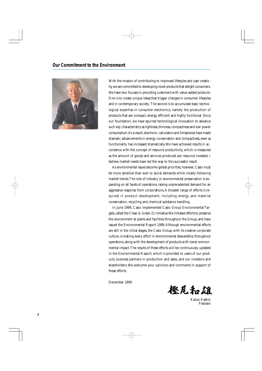

With the mission of contributing to improved lifestyles and user creativity, we are committed to developing novel products that delight consumers. We have two focuses in providing customers with value-added products. One is to create unique ideas that trigger changes in consumer lifestyles and in contemporary society. The second is to accumulate basic technological expertise in consumer electronics, namely the production of products that are compact, energy efficient and highly functional. Since our foundation, we have spurred technological innovation to advance such key characteristics as lightness, thinness, compactness and low power consumption. As a result, electronic calculators and timepieces have made dramatic advancements in energy conservation and compactness, even as functionality has increased dramatically. We have achieved results in accordance with the concept of resource productivity, which is measured as the amount of goods and services produced per resource invested. I believe market needs have led the way to this successful result.

As environmental issues become global priorities, however, Casio must be more sensitive than ever to social demands while closely following market trends. The role of industry in environmental preservation is expanding on all facets of operations, raising unprecedented demand for an aggressive response from corporations. A broader range of efforts is required in product development, including energy and material conservation, recycling and chemical substance handling.

In June 1999, Casio implemented Casio Group Environmental Targets, called the Clean & Green 21 Initiative. We initiated efforts to preserve the environment at plants and facilities throughout the Group, and have issued the Environmental Report 1999. Although environmental efforts are still in the initial stages, the Casio Group, with its creative corporate culture, is making every effort in environmental stewardship throughout operations, along with the development of products with lower environmental impact. The results of these efforts will be continuously updated in the Environmental Report, which is provided to users of our products, business partners in production and sales, and our investors and shareholders. We welcome your opinions and comments in support of these efforts.

December 1999



Kazuo Kashio *President*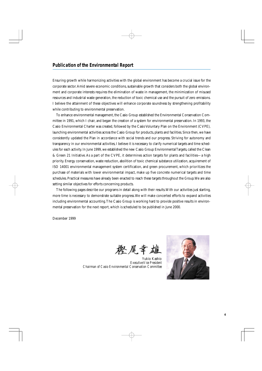Ensuring growth while harmonizing activities with the global environment has become a crucial issue for the corporate sector. Amid severe economic conditions, sustainable growth that considers both the global environment and corporate interests requires the elimination of waste in management, the minimization of misused resources and industrial waste generation, the reduction of toxic chemical use and the pursuit of zero emissions. I believe the attainment of these objectives will enhance corporate soundness by strengthening profitability while contributing to environmental preservation.

To enhance environmental management, the Casio Group established the Environmental Conservation Committee in 1991, which I chair, and began the creation of a system for environmental preservation. In 1993, the Casio Environmental Charter was created, followed by the Casio Voluntary Plan on the Environment (CVPE), launching environmental activities across the Casio Group for products, plants and facilities. Since then, we have consistently updated the Plan in accordance with social trends and our progress. Striving for autonomy and transparency in our environmental activities, I believe it is necessary to clarify numerical targets and time schedules for each activity. In June 1999, we established the new Casio Group Environmental Targets, called the Clean & Green 21 Initiative. As a part of the CVPE, it determines action targets for plants and facilities—a high priority. Energy conservation, waste reduction, abolition of toxic chemical substance utilization, acquirement of ISO 14001 environmental management system certification, and green procurement, which prioritizes the purchase of materials with lower environmental impact, make up five concrete numerical targets and time schedules. Practical measures have already been enacted to reach these targets throughout the Group. We are also setting similar objectives for efforts concerning products.

The following pages describe our programs in detail along with their results. With our activities just starting, more time is necessary to demonstrate suitable progress. We will make concerted efforts to expand activities including environmental accounting. The Casio Group is working hard to provide positive results in environmental preservation for the next report, which is scheduled to be published in June 2000.

December 1999

冬屋幸

Yukio Kashio *Executive Vice President Chairman of Casio Environmental Conservation Committee*

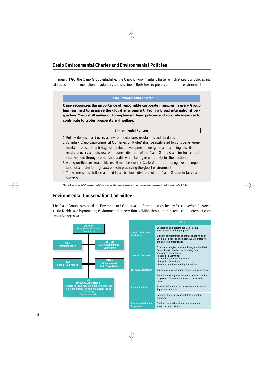In January 1993, the Casio Group established the Casio Environmental Charter, which states four policies and addresses the implementation of voluntary and sustained efforts toward preservation of the environment.

#### **Casio Environmental Charter**

**Casio recognizes the importance of responsible corporate measures in every Group business field to preserve the global environment. From a broad international perspective, Casio shall endeavor to implement basic policies and concrete measures to contribute to global prosperity and welfare.**

#### **Environmental Policies**

- 1. Follow domestic and overseas environmental laws, regulations and standards.
- 2. Voluntary Casio Environmental Conservation Rules\* shall be established to consider environmental interests at each stage of product development—design, manufacturing, distribution, repair, recovery and disposal. All business divisions of the Casio Group shall aim for constant improvement through compliance audits while taking responsibility for their actions.
- 3. As responsible corporate citizens, all members of the Casio Group shall recognize the importance of and aim for high awareness in preserving the global environment.
- 4. These measures shall be applied to all business divisions of the Casio Group in Japan and overseas.

\*Casio Environmental Conservation Rules are concrete action programs for environmental conservation determined in the CVPE.

## **Environmental Conservation Committee**

The Casio Group established the Environmental Conservation Committee, chaired by Executive Vice President Yukio Kashio, and is promoting environmental preservation activities through transparent action systems at each executive organization.

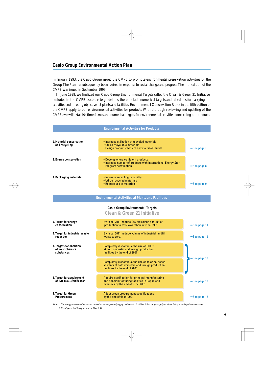In January 1993, the Casio Group issued the CVPE to promote environmental preservation activities for the Group. The Plan has subsequently been revised in response to social change and progress. The fifth edition of the CVPE was issued in September 1999.

In June 1999, we finalized our Casio Group Environmental Targets called the Clean & Green 21 Initiative. Included in the CVPE as concrete guidelines, these include numerical targets and schedules for carrying out activities and meeting objectives at plants and facilities. Environmental Conservation Rules in the fifth edition of the CVPE apply to our environmental activities for products. With thorough reviewing and updating of the CVPE, we will establish time frames and numerical targets for environmental activities concerning our products.



Note: 1. The energy-conservation and waste-reduction targets only apply to domestic facilities. Other targets apply to all facilities, including those overseas. 2. Fiscal years in this report end on March 31.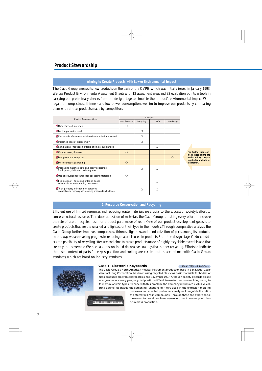### **Aiming to Create Products with Lower Environmental Impact**

The Casio Group assesses its new products on the basis of the CVPE, which was initially issued in January 1993. We use Product Environmental Assessment Sheets with 12 assessment areas and 32 evaluation points as tools in carrying out preliminary checks from the design stage to simulate the product's environmental impact. With regard to compactness, thinness and low power consumption, we aim to improve our products by comparing them with similar products made by competitors.

| <b>Product Assessment Item</b>                                                                          | Category        |           |      |              |  |  |
|---------------------------------------------------------------------------------------------------------|-----------------|-----------|------|--------------|--|--|
|                                                                                                         | Saves Resources | Recycling | Safe | Saves Energy |  |  |
| Uses recycled materials                                                                                 | ∩               |           |      |              |  |  |
| Marking of resins used                                                                                  |                 | ∩         |      |              |  |  |
| Parts made of same material easily detached and sorted                                                  |                 | ∩         |      |              |  |  |
| Improved ease of disassembly                                                                            |                 | ∩         |      |              |  |  |
| Elimination or reduction of toxic chemical substances                                                   |                 |           | ∩    |              |  |  |
| Compactness, thinness                                                                                   | $\bigcirc$      |           |      |              |  |  |
| Low power consumption                                                                                   |                 |           |      | $\Omega$     |  |  |
| More compact packaging                                                                                  | $\Omega$        |           |      |              |  |  |
| Packaging materials safe and easily separated<br>for disposal; shift from resin to paper                |                 | ∩         | ∩    |              |  |  |
| Use of recycled resources for packaging materials                                                       | ∩               |           |      |              |  |  |
| Elimination of HCFCs and chlorine-based<br>solvents from part cleaning processes                        |                 |           | ∩    |              |  |  |
| Toxic property indication on batteries;<br>information on recovery and recycling of secondary batteries |                 | ാ         | ⊖    |              |  |  |

**For further improvement, these points are evaluated by comparing similar products on the market.**

### **1) Resource Conservation and Recycling**

Efficient use of limited resources and reducing waste materials are crucial to the success of society's effort to conserve natural resources. To reduce utilization of materials, the Casio Group is making every effort to increase the rate of use of recycled resin for product parts made of resin. One of our product development goals is to create products that are the smallest and lightest of their type in the industry. Through comparative analysis, the Casio Group further improves compactness, thinness, lightness and standardization of parts among its products. In this way, we are making progress in reducing materials used in products. From the design stage, Casio considers the possibility of recycling after use and aims to create products made of highly recyclable materials and that are easy to disassemble. We have also discontinued decorative coatings that hinder recycling. Efforts to indicate the resin content of parts for easy separation and sorting are carried out in accordance with Casio Group standards, which are based on industry standards.



#### **Case 1: Electronic Keyboards Use of recycled materials**

The Casio Group's North American musical instrument production base in San Diego, Casio Manufacturing Corporation, has been using recycled plastic as basic materials for bodies of mass-produced electronic keyboards since November 1997. Although society discards plastic in large amounts every year, recycled plastic is difficult to use for precision molding owing to its mixture of resin types. To cope with this problem, the Company introduced exclusive coloring agents, upgraded the screening functions of filters used in the extrusion molding

,,,,,,,,,,,,,,,,,,,,,,,,,,,

processes and adopted preliminary analyses to regulate the ratios of different resins in compounds. Through these and other special measures, technical problems were overcome to use recycled plastic in mass production.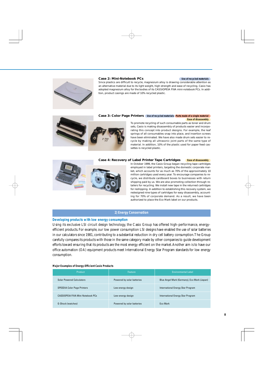#### **Case 2: Mini-Notebook PCs Use of recycled materials**



Since plastics are difficult to recycle, magnesium alloy is drawing considerable attention as an alternative material due to its light weight, high strength and ease of recycling. Casio has adopted magnesium alloy for the bodies of its CASSIOPEIA FIVA mini-notebook PCs. In addition, product casings are made of 10% recycled plastic.

#### **Case 3: Color Page Printers** Use of recycled materials (Parts made of a single material) **Ease of disassembly**



To promote recycling of such consumable parts as toner and drum sets, Casio is making disassembly of products easier and incorporating this concept into product designs. For example, the leaf springs of all consumables snap into place, and insertion screws have been eliminated. We have also made drum sets easier to recycle by making all ultrasonic joint parts of the same type of material. In addition, 10% of the plastic used for paper feed cassettes is recycled plastic.



#### **Case 4: Recovery of Label Printer Tape Cartridges Ease of disassembly**

In October 1999, the Casio Group began recycling tape cartridges employed in label printers, targeting the domestic corporate market, which accounts for as much as 70% of the approximately 10 million cartridges used every year. To encourage companies to recycle, we distribute cardboard boxes to businesses with return shipping paid by us. We are also promoting collection through retailers for recycling. We install new tape in the returned cartridges for reshipping. In addition to establishing this recovery system, we redesigned nine types of cartridges for easy disassembly, accounting for 70% of corporate demand. As a result, we have been authorized to place the Eco Mark label on our products.

#### **2) Energy Conservation**

#### **Developing products with low energy consumption**

Using its exclusive LSI circuit design technology, the Casio Group has offered high-performance, energyefficient products. For example, our low power consumption LSI designs have enabled the use of solar batteries in our calculators since 1981, contributing to a substantial reduction in dry cell battery consumption. The Group carefully compares its products with those in the same category made by other companies to guide development efforts toward ensuring that its products are the most energy efficient on the market. Another aim is to have our office automation (OA) equipment products meet International Energy Star Program standards for low energy consumption.

#### **Major Examples of Energy-Efficient Casio Products**

| Product                            | Feature                    | <b>Environmental Label</b>                  |
|------------------------------------|----------------------------|---------------------------------------------|
| <b>Solar Powered Calculators</b>   | Powered by solar batteries | Blue Angel Mark (Germany), Eco Mark (Japan) |
| <b>SPEEDIA Color Page Printers</b> | Low energy design          | International Energy Star Program           |
| CASSIOPEIA FIVA Mini-Notebook PCs  | Low-energy design          | International Energy Star Program           |
| <b>G-Shock (watches)</b>           | Powered by solar batteries | <b>Fco Mark</b>                             |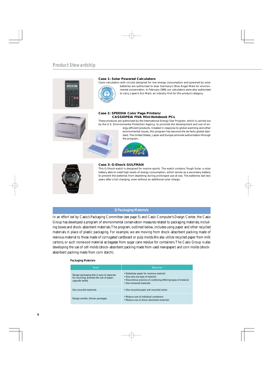

#### **Case 1: Solar Powered Calculators**

Casio calculators with circuits designed for low energy consumption and powered by solar



batteries are authorized to bear Germany's Blue Angel Mark for environmental conservation. In February 1999, our calculators were also authorized to carry Japan's Eco Mark, an industry first for this product category.



#### **Case 2: SPEEDIA Color Page Printers/ CASSIOPEIA FIVA Mini-Notebook PCs**

These products are authorized by the International Energy Star Program, which is carried out by the U.S. Environmental Protection Agency, to promote the development and use of en-

> ergy-efficient products. Created in response to global warming and other environmental issues, this program has become the de facto global standard. The United States, Japan and Europe promote authorization through the program.





#### **Case 3: G-Shock GULFMAN**

This G-Shock watch is designed for marine sports. The watch contains Tough Solar, a solar battery able to meet high levels of energy consumption, which serves as a secondary battery to prevent the batteries from depleting during prolonged use at sea. The batteries last two years after a full charging, even without an additional solar charge.

## **3) Packaging Materials**

In an effort led by Casio's Packaging Committee (see page 5) and Casio Computer's Design Center, the Casio Group has developed a program of environmental conservation measures related to packaging materials, including boxes and shock-absorbent materials. The program, outlined below, includes using paper and other recycled materials in place of plastic packaging. For example, we are moving from shock-absorbent packing made of resinous material to those made of corrugated cardboard or pulp molds. We also utilize recycled paper from milk cartons, or such nonwood material as bagasse from sugar cane residue for containers. The Casio Group is also developing the use of cell molds (shock-absorbent packing made from used newspaper) and corn molds (shockabsorbent packing made from corn starch).

#### **Packaging Materials**

| Goals                                                                                                   | <b>Measures</b>                                                                                                                                                           |
|---------------------------------------------------------------------------------------------------------|---------------------------------------------------------------------------------------------------------------------------------------------------------------------------|
| Design packaging that is easy to separate<br>for recycling; promote the use of paper;<br>upgrade safety | • Substitute paper for resinous material<br>• Use only one type of material<br>• Discontinue practice of combining differing types of material<br>· Use nonwood materials |
| Use recycled materials                                                                                  | • Use recycled paper and recycled resins                                                                                                                                  |
| Design smaller, thinner packages                                                                        | • Reduce size of individual containers<br>• Reduce use of shock-absorbent materials                                                                                       |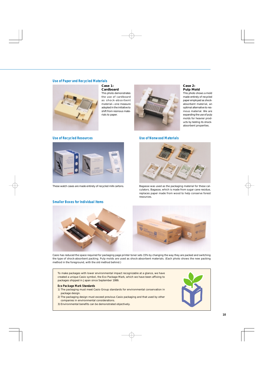#### **Use of Paper and Recycled Materials**



**Case 1: Cardboard**

This photo demonstrates the use of cardboard as shock-absorbent material—one measure adopted in the initiative to shift from resinous materials to paper.



#### **Case 2: Pulp Mold**

This photo shows a mold made entirely of recycled paper employed as shockabsorbent material, an optimal alternative to resinous material. We are expanding the use of pulp molds for heavier products by testing its shockabsorbent properties.



These watch cases are made entirely of recycled milk cartons.

#### Use of Recycled Resources **Victor** Constants Use of Nonwood Materials



Bagasse was used as the packaging material for these calculators. Bagasse, which is made from sugar cane residue, replaces paper made from wood to help conserve forest resources.

#### **Smaller Boxes for Individual Items**



Casio has reduced the space required for packaging page printer toner sets 15% by changing the way they are packed and switching the type of shock-absorbent packing. Pulp molds are used as shock-absorbent materials. (Each photo shows the new packing method in the foreground, with the old method behind.)

To make packages with lower environmental impact recognizable at a glance, we have created a unique Casio symbol, the Eco Package Mark, which we have been affixing to packages shipped in Japan since September 1999.

#### **Eco Package Mark Standards**

- 1) The packaging must meet Casio Group standards for environmental conservation in package design.
- 2) The packaging design must exceed previous Casio packaging and that used by other companies in environmental considerations.
- 3) Environmental benefits can be demonstrated objectively.

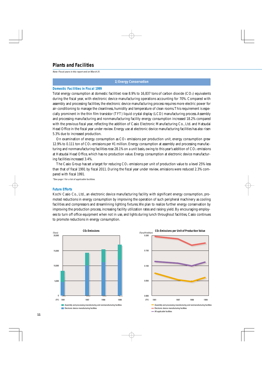## **Plants and Facilities**

Note: Fiscal years in this report end on March 31.

#### **1) Energy Conservation**

#### **Domestic Facilities in Fiscal 1999**

Total energy consumption at domestic facilities rose 8.9% to 16,837 tons of carbon dioxide (CO2) equivalents during the fiscal year, with electronic device manufacturing operations accounting for 70%. Compared with assembly and processing facilities, the electronic device manufacturing process requires more electric power for air-conditioning to manage the cleanliness, humidity and temperature of clean rooms. This requirement is especially prominent in the thin film transistor (TFT) liquid crystal display (LCD) manufacturing process. Assembly and processing manufacturing and nonmanufacturing facility energy consumption increased 18.2% compared with the previous fiscal year, reflecting the addition of Casio Electronic Manufacturing Co., Ltd. and Hatsudai Head Office in the fiscal year under review. Energy use at electronic device manufacturing facilities has also risen 5.3% due to increased production.

On examination of energy consumption as  $CO<sub>2</sub>$  emissions per production unit, energy consumption grew 12.9% to 0.111 ton of  $CO<sub>2</sub>$  emissions per ¥1 million. Energy consumption at assembly and processing manufacturing and nonmanufacturing facilities rose 28.1% on a unit basis, owing to this year's addition of  $CO<sub>2</sub>$  emissions at Hatsudai Head Office, which has no production value. Energy consumption at electronic device manufacturing facilities increased 3.4%.

The Casio Group has set a target for reducing  $CO<sub>2</sub>$  emissions per unit of production value to a level 25% less than that of fiscal 1991 by fiscal 2011. During the fiscal year under review, emissions were reduced 2.3% compared with fiscal 1991.

\*See page 1 for a list of applicable facilities.

#### **Future Efforts**

Kochi Casio Co., Ltd., an electronic device manufacturing facility with significant energy consumption, promoted reductions in energy consumption by improving the operation of such peripheral machinery as cooling facilities and compressors and streamlining lighting fixtures. We plan to realize further energy conservation by improving the production process, increasing facility utilization rates and raising yield. By encouraging employees to turn off office equipment when not in use, and lights during lunch throughout facilities, Casio continues to promote reductions in energy consumption.



**Electronic device manufacturing facilities** 

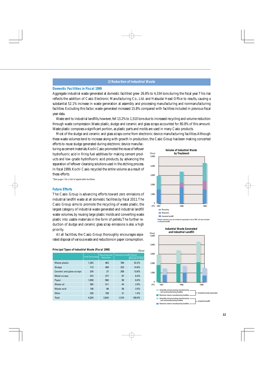#### **2) Reduction of Industrial Waste**

#### **Domestic Facilities in Fiscal 1999**

Aggregate industrial waste generated at domestic facilities\* grew 26.8% to 4,334 tons during the fiscal year.This rise reflects the addition of Casio Electronic Manufacturing Co., Ltd. and Hatsudai Head Office to results, causing a substantial 52.1% increase in waste generation at assembly and processing manufacturing and nonmanufacturing facilities. Excluding this factor, waste generated increased 15.8% compared with facilities included in previous fiscal year data.

Waste sent to industrial landfills, however, fell 13.2% to 1,510 tons due to increased recycling and volume reduction through waste compression. Waste plastic, sludge and ceramic and glass scraps accounted for 80.8% of this amount. Waste plastic composes a significant portion, as plastic parts and molds are used in many Casio products.

Most of the sludge and ceramic and glass scraps come from electronic device manufacturing facilities. Although these waste volumes tend to increase along with growth in production, the Casio Group has been making concerted

(Tons)

efforts to reuse sludge generated during electronic device manufacturing as cement materials. Kochi Casio promoted the reuse of leftover hydrofluoric acid in firing fuel additives for making cement products and low-grade hydrofluoric acid products, by advancing the separation of leftover cleansing solutions used in the etching process. In fiscal 1999, Kochi Casio recycled the entire volume as a result of these efforts.

\*See page 1 for a list of applicable facilities.

## 5,000 4,000 3,000 2,000 1,000  $\mathsf{n}$ 1997 1998 1999 Recycling **Reduction Industrial landfill** (FY) 1997

\* Waste reduction was not monitored separately in fiscal 1997, and was included

**Volume of Industrial Waste by Treatment**

### **Future Efforts**

The Casio Group is advancing efforts toward zero emissions of industrial landfill waste at all domestic facilities by fiscal 2011. The Casio Group aims to promote the recycling of waste plastic, the largest category of industrial waste generated and industrial landfill waste volumes, by reusing large plastic molds and converting waste plastic into usable materials in the form of pellets. The further reduction of sludge and ceramic glass scrap emissions is also a high priority.

At all facilities, the Casio Group thoroughly encourages separated disposal of various waste and reductions in paper consumption.

| Principal Types of Industrial Waste (Fiscal 1999)<br>(Tons) |                        |                                                                              |       |                         |  |  |  |
|-------------------------------------------------------------|------------------------|------------------------------------------------------------------------------|-------|-------------------------|--|--|--|
|                                                             | <b>Total Generated</b> | <b>Industrial Landfill Waste</b><br><b>Recycling and</b><br><b>Reduction</b> |       | <b>Percent of Total</b> |  |  |  |
|                                                             |                        |                                                                              |       |                         |  |  |  |
| Waste plastic                                               | 1,253                  | 463                                                                          | 789   | 52.2%                   |  |  |  |
| Sludge                                                      | 713                    | 489                                                                          | 223   | 14.8%                   |  |  |  |
| Ceramic and glass scraps                                    | 234                    | 27                                                                           | 208   | 13.8%                   |  |  |  |
| <b>Metal scraps</b>                                         | 373                    | 277                                                                          | 97    | 6.4%                    |  |  |  |
| Paper                                                       | 1,050                  | 960                                                                          | 90    | 6.0%                    |  |  |  |
| Waste oil                                                   | 355                    | 311                                                                          | 44    | 2.9%                    |  |  |  |
| Waste acid                                                  | 136                    | 98                                                                           | 38    | 2.5%                    |  |  |  |
| Other                                                       | 220                    | 199                                                                          | 21    | 1.4%                    |  |  |  |
| Total                                                       | 4,334                  | 2,824                                                                        | 1,510 | 100.0%                  |  |  |  |
|                                                             |                        |                                                                              |       |                         |  |  |  |



in industrial landfil

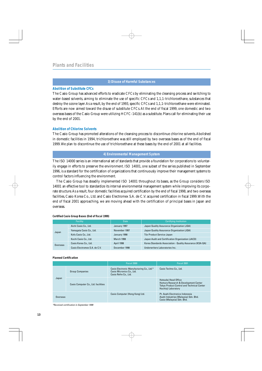#### **3) Disuse of Harmful Substances**

#### **Abolition of Substitute CFCs**

The Casio Group has advanced efforts to eradicate CFCs by eliminating the cleansing process and switching to water-based solvents, aiming to eliminate the use of specific CFCs and 1,1,1-trichloroethane, substances that destroy the ozone layer. As a result, by the end of 1993, specific CFCs and 1,1,1-trichloroethane were eliminated. Efforts are now aimed toward the disuse of substitute CFCs. At the end of fiscal 1999, one domestic and two overseas bases of the Casio Group were utilizing HCFC-141(b) as a substitute. Plans call for eliminating their use by the end of 2001.

#### **Abolition of Chlorine Solvents**

The Casio Group has promoted alterations of the cleansing process to discontinue chlorine solvents. Abolished in domestic facilities in 1994, trichloroethane was still employed by two overseas bases as of the end of fiscal 1999. We plan to discontinue the use of trichloroethane at these bases by the end of 2001 at all facilities.

### **4) Environmental Management System**

The ISO 14000 series is an international set of standards that provide a foundation for corporations to voluntarily engage in efforts to preserve the environment. ISO 14001, one subset of the series published in September 1996, is a standard for the certification of organizations that continuously improve their management systems to control factors influencing the environment.

The Casio Group has steadily implemented ISO 14001 throughout its bases, as the Group considers ISO 14001 an effective tool to standardize its internal environmental management system while improving its corporate structure. As a result, four domestic facilities acquired certification by the end of fiscal 1998, and two overseas facilities, Casio Korea Co., Ltd. and Casio Electromex S.A. de C.V. acquired certification in fiscal 1999. With the end of fiscal 2001 approaching, we are moving ahead with the certification of principal bases in Japan and overseas.

|          | <b>Facility</b>               | Date              | <b>Certifying Institution</b>                            |
|----------|-------------------------------|-------------------|----------------------------------------------------------|
|          | Aichi Casio Co., Ltd.         | January 1997      | Japan Quality Assurance Organization (JQA)               |
| Japan    | Yamagata Casio Co., Ltd.      | November 1997     | Japan Quality Assurance Organization (JQA)               |
|          | Kofu Casio Co., Ltd.          | January 1998      | Tüv Product Service Japan                                |
|          | Kochi Casio Co., Ltd.         | <b>March 1998</b> | Japan Audit and Certification Organization (JACO)        |
| Overseas | Casio Korea Co., Ltd.         | April 1998        | Korea Standards Association - Quality Assurance (KSA-QA) |
|          | Casio Electromex S.A. de C.V. | December 1998     | Underwriters Laboratories Inc.                           |

#### **Certified Casio Group Bases (End of fiscal 1999)**

#### **Planned Certification**

|          |                                     | Fiscal 2000                                                                                     | Fiscal 2001                                                                                                                              |
|----------|-------------------------------------|-------------------------------------------------------------------------------------------------|------------------------------------------------------------------------------------------------------------------------------------------|
|          | <b>Group Companies</b>              | Casio Electronic Manufacturing Co., Ltd.*<br>Casio Micronics Co., Ltd.<br>Casio Refre Co., Ltd. | Casio Techno Co., Ltd.                                                                                                                   |
| Japan    | Casio Computer Co., Ltd. facilities |                                                                                                 | Hatsudai Head Office<br>Hamura Research & Development Center<br><b>Tokyo Product Control and Technical Center</b><br>Hachioji Laboratory |
| Overseas |                                     | Casio Computer (Hong Kong) Ltd.                                                                 | Pt. Asahi Electronics Indonesia<br>Asahi Industries (Malaysia) Sdn. Bhd.<br>Casio (Malaysia) Sdn. Bhd.                                   |

\*Received certification in September 1999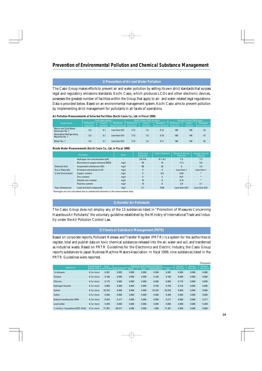#### **1) Prevention of Air and Water Pollution**

The Casio Group makes efforts to prevent air and water pollution by setting its own strict standards that surpass legal and regulatory emissions standards. Kochi Casio, which produces LCDs and other electronic devices, possesses the greatest number of facilities within the Group that apply to air- and water-related legal regulations. Data is provided below. Based on an environmental management system, Kochi Casio aims to prevent pollution by implementing strict management for pollutants in all facets of operations.

|                                                  | Particulate (q/Nm <sup>3</sup> ) |                            |                                   |                           | Sulfur Oxides (SO <sub>x</sub> ) (K value) |                                          | Nitrogen Oxides (NO <sub>x</sub> ) (ppm) |                            |                                          |
|--------------------------------------------------|----------------------------------|----------------------------|-----------------------------------|---------------------------|--------------------------------------------|------------------------------------------|------------------------------------------|----------------------------|------------------------------------------|
| <b>Facility Name</b>                             | Prefectural<br>Regulation        | Casio's<br><b>Standard</b> | <b>Maximum</b><br>Amount Detected | Prefectural<br>Regulation | Casio's<br><b>Standard</b>                 | <b>Maximum</b><br><b>Amount Detected</b> | Prefectural<br>Regulation                | Casio's<br><b>Standard</b> | <b>Maximum</b><br><b>Amount Detected</b> |
| Warm and Cold Water<br>Generator No. 1           | 0.3                              | 0.1                        | Less than 0.01                    | 17.5                      | 1.0                                        | 0.12                                     | 180                                      | 140                        | 23                                       |
| <b>Absorption Refrigerating</b><br>Machine No. 1 | 0.3                              | 0.1                        | Less than 0.01                    | 17.5                      | 1.0                                        | 0.19                                     | 180                                      | 140                        | 37                                       |
| Boiler No. 1                                     | 0.3                              | 0.1                        | Less than 0.01                    | 17.5                      | 1.0                                        | 0.11                                     | 180                                      | 140                        | 53                                       |

#### **Air Pollution Measurements at Selected Facilities (Kochi Casio Co., Ltd. in Fiscal 1999)**

#### **Waste Water Measurements (Kochi Casio Co., Ltd. in Fiscal 1999)**

|                         | Parameter                       | <b>Units</b> | Prefectural<br>Regulation | Casio's Standard | <b>Maximum Amount</b><br><b>Detected</b> | <b>Average Amount</b><br><b>Detected</b> |
|-------------------------|---------------------------------|--------------|---------------------------|------------------|------------------------------------------|------------------------------------------|
|                         | Hydrogen-ion concentration (pH) |              | $5.8 - 8.6$               | $6.1 - 8.3$      | 7.6                                      | 7.3                                      |
|                         | Biochemical oxygen demand (BOD) | mq/l         | $50\,$                    | 16               | 11.2                                     | 5.8                                      |
| <b>Elements that</b>    | Suspended substances (SS)       | mq/l         | 90                        | 20               | 6                                        | 2.5                                      |
| <b>Occur Naturally</b>  | N-hexane extractives (n-H)      | mq/l         | 5                         | 4                | Less than 1                              | Less than 1                              |
| in the Environment      | Copper content                  | mq/l         | 3                         | 0.8              | 0.03                                     |                                          |
|                         | Zinc content                    | mq/l         | 5                         | 4                | 0.01                                     |                                          |
|                         | Soluble iron content            | mq/l         | 10                        | 8                | 0.13                                     | $\ast$                                   |
|                         | <b>Fluorine content</b>         | mq/l         | 15                        | 9                | 3.9                                      | 2.1                                      |
| <b>Toxic Substances</b> | Lead and lead compounds         | mq/l         | 0.1                       | 0.08             | Less than 0.01                           | Less than 0.01                           |

\*Averages are not calculated due to undetected elements in the measurement data.

#### **2) Harmful Air Pollutants**

The Casio Group does not employ any of the 13 substances listed in "Promotion of Measures Concerning Hazardous Air Pollutants," the voluntary guideline established by the Ministry of International Trade and Industry under the Air Pollution Control Law.

#### **3) Chemical Substance Management (PRTR)**

Based on corporate reports, Pollutant Release and Transfer Register (PRTR) is a system for the authorities to register, total and publish data on toxic chemical substances released into the air, water and soil, and transferred as industrial waste. Based on PRTR Guidelines for the Electronics and Electric Industry, the Casio Group reports substances to Japan Business Machine Makers Association. In fiscal 1999, nine substances listed in the PRTR Guidelines were reported.

|                                           |                             |                       |                   |                                         |       |                         |              |         |          | (Tons/year) |
|-------------------------------------------|-----------------------------|-----------------------|-------------------|-----------------------------------------|-------|-------------------------|--------------|---------|----------|-------------|
| <b>Substance</b>                          | <b>Amount Handled</b>       | Annual                |                   | <b>Emissions and Transferred Amount</b> |       |                         |              |         | Amount   | Amount      |
|                                           | <b>Applicable to Report</b> | <b>Volume Handled</b> | <b>Atmosphere</b> | Water                                   | Land  | <b>Industrial Waste</b> | <b>Total</b> | Removed | Recycled | Consumed    |
| 1.4-dioxane                               | 0.1or more                  | 0.387                 | 0.003             | 0.000                                   | 0.000 | 0.384                   | 0.387        | 0.000   | 0.000    | 0.000       |
| <b>Toluene</b>                            | 0.1or more                  | 0.186                 | 0.000             | 0.000                                   | 0.000 | 0.186                   | 0.186        | 0.000   | 0.000    | 0.000       |
| Chlorine                                  | 0.1or more                  | 0.175                 | 0.000             | 0.000                                   | 0.000 | 0.000                   | 0.000        | 0.175   | 0.000    | 0.000       |
| Hydrogen fluoride                         | 0.1or more                  | 0.966                 | 0.000             | 0.000                                   | 0.000 | 0.750                   | 0.750        | 0.216   | 0.000    | 0.000       |
| Xylene                                    | 0.1or more                  | 25.233                | 0.000             | 0.000                                   | 0.000 | 25.233                  | 25.233       | 0.000   | 0.000    | 0.000       |
| lodine                                    | 0.1or more                  | 0.266                 | 0.000             | 0.000                                   | 0.000 | 0.266                   | 0.266        | 0.000   | 0.000    | 0.000       |
| Sodium hexafluoride (SF6)                 | 0.1or more                  | 0.434                 | 0.217             | 0.000                                   | 0.000 | 0.000                   | 0.217        | 0.000   | 0.000    | 0.217       |
| Lead solder                               | 0.1or more                  | 5.209                 | 0.000             | 0.000                                   | 0.000 | 0.000                   | 0.000        | 0.000   | 0.000    | 5.209       |
| 1.1-dichloro-1-fluoroethane [HCFC-141(b)] | 0.1or more                  | 71.367                | 69.517            | 0.000                                   | 0.000 | 1.850                   | 71.367       | 0.000   | 0.000    | 0.000       |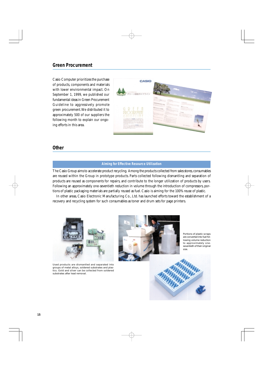## **Green Procurement**

Casio Computer prioritizes the purchase of products, components and materials with lower environmental impact. On September 1, 1999, we published our fundamental ideas in Green Procurement Guideline to aggressively promote green procurement. We distributed it to approximately 500 of our suppliers the following month to explain our ongoing efforts in this area.



### **Other**

#### **Aiming for Effective Resource Utilization**

The Casio Group aims to accelerate product recycling. Among the products collected from sales stores, consumables are reused within the Group in prototype products. Parts collected following dismantling and separation of products are reused as components for repairs, and contribute to the longer utilization of products by users. Following an approximately one-seventieth reduction in volume through the introduction of compressors, portions of plastic packaging materials are partially reused as fuel. Casio is aiming for the 100% reuse of plastic.

In other areas, Casio Electronic Manufacturing Co., Ltd. has launched efforts toward the establishment of a recovery and recycling system for such consumables as toner and drum sets for page printers.



Used products are dismantled and separated into groups of metal alloys, soldered substrates and plastics. Gold and silver can be collected from soldered substrates after lead removal.



Portions of plastic scraps are converted into fuel following volume reduction to approximately oneseventieth of their original size.

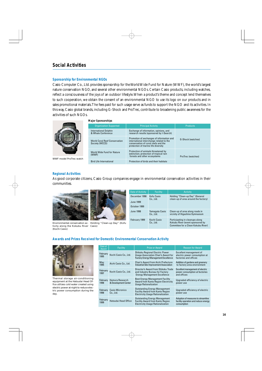## **Social Activities**

#### **Sponsorship for Environmental NGOs**

Casio Computer Co., Ltd. provides sponsorship for the World Wide Fund for Nature (WWF), the world's largest nature conservation NGO, and several other environmental NGOs. Certain Casio products, including watches, reflect a consciousness of the joys of an outdoor lifestyle. When a product's theme and concept lend themselves to such cooperation, we obtain the consent of an environmental NGO to use its logo on our products and in sales promotional materials. The fees paid for such usage serve as funds to support the NGO and its activities. In this way, Casio global brands, including G-Shock and ProTrec, contribute to broadening public awareness for the activities of such NGOs.



WWF model ProTrec watch

#### **Major Sponsorships**

| <b>Organization Supported</b>                          | <b>Principal Activity</b>                                                                                                                                           | <b>Products</b>          |
|--------------------------------------------------------|---------------------------------------------------------------------------------------------------------------------------------------------------------------------|--------------------------|
| International Dolphin<br>& Whale Conference            | Exchange of information, opinions, and<br>research results (sponsored by I-Search)                                                                                  |                          |
| <b>World Coral Reef Conservation</b><br>Society (WCCS) | Promotion of exchanges of information and<br>international interchange related to the<br>conservation of coral reefs and the<br>protection of marine life diversity | <b>G-Shock (watches)</b> |
| World Wide Fund for Nature<br>(WWF)                    | Protection of animals threatened by<br>extinction; protection of tropical rain<br>forests and other ecosystems                                                      | ProTrec (watches)        |
| <b>Bird Life International</b>                         | Protection of birds and their habitats                                                                                                                              |                          |

#### **Regional Activities**

As good corporate citizens, Casio Group companies engage in environmental conservation activities in their communities.



tivity along the Kokubu River Casio) (Kochi Casio)



Environmental conservation ac-Holding "Clean-up Day" (Kofu

| <b>Date of Activity</b>                           | Facility                    | <b>Activity</b>                                                                                            |
|---------------------------------------------------|-----------------------------|------------------------------------------------------------------------------------------------------------|
| December 1998<br><b>June 1999</b><br>October 1999 | Kofu Casio<br>Co., Ltd.     | Holding "Clean-up Day" (General<br>clean-up of area around the factory)                                    |
| <b>June 1998</b>                                  | Yamagata Casio<br>Co., Ltd. | Clean-up of area along roads in<br>vicinity of Higashine Gymnasium                                         |
| February 1999                                     | Kochi Casio<br>Co., Ltd.    | Participating in cleanups along<br>Kokubu River (event sponsored by<br>Committee for a Clean Kokubu River) |

#### **Awards and Prizes Received for Domestic Environmental Conservation Activity**



Thermal storage air-conditioning equipment at the Hatsudai Head Office utilizes cold water created using electric power at night to reduce electric power consumption during the day.

| Date of<br>Award | <b>Facility</b>                         | <b>Prize or Award</b>                                                                                                        | <b>Reason for Award</b>                                                                   |
|------------------|-----------------------------------------|------------------------------------------------------------------------------------------------------------------------------|-------------------------------------------------------------------------------------------|
| February<br>1995 | Kochi Casio Co., Ltd.                   | Shikoku Regional Electric Power<br><b>Usage Association Chair's Award for</b><br><b>Factory Energy Management Excellence</b> | Excellent management of<br>electric power consumption at<br>factories and offices         |
| May<br>1995      | Aichi Casio Co., Ltd.                   | Chair's Award from Aichi Prefecture<br><b>Industrial Site Improvement Association</b>                                        | Addition of gardens and greenery<br>to factory area environment                           |
| February<br>1997 | Kochi Casio Co., Ltd.                   | Director's Award from Shikoku Trade<br>and Industry Bureau for Factory<br><b>Energy Management Excellence</b>                | <b>Excellent management of electric</b><br>power consumption at factories<br>and offices  |
| February<br>1998 | Hamura Research<br>& Development Center | <b>Best Energy Management Facility</b><br>Award from Kanto Region Electricity<br><b>Usage Rationalization</b>                | Upgraded efficiency of electric<br>power use                                              |
| February<br>1998 | <b>Casio Micronics</b><br>Co., Ltd.     | <b>Outstanding Energy Management</b><br><b>Facility Award from Kanto Region</b><br><b>Electricity Usage Rationalization</b>  | Upgraded efficiency of electric<br>power use                                              |
| February<br>1999 | Hatsudai Head Office                    | <b>Outstanding Energy Management</b><br><b>Facility Award from Kanto Region</b><br><b>Electricity Usage Rationalization</b>  | Adoption of measures to streamline<br>facility operation and reduce energy<br>consumption |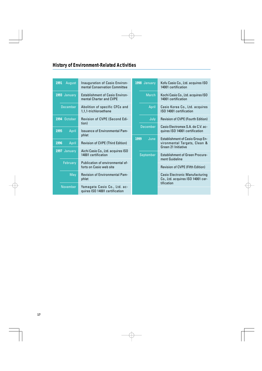## **History of Environment-Related Activities**

| 1991<br>August                                                                    | Inauguration of Casio Environ-<br>mental Conservation Committee   |                           | Kofu Casio Co., Ltd. acquires ISO<br>14001 certification                                       |
|-----------------------------------------------------------------------------------|-------------------------------------------------------------------|---------------------------|------------------------------------------------------------------------------------------------|
| 1993 January                                                                      | <b>Establishment of Casio Environ-</b><br>mental Charter and CVPE |                           | Kochi Casio Co., Ltd. acquires ISO<br>14001 certification                                      |
| <b>December</b>                                                                   | Abolition of specific CFCs and<br>1,1,1-trichloroethane           |                           | Casio Korea Co., Ltd. acquires<br>ISO 14001 certification                                      |
| 1994 October                                                                      | Revision of CVPE (Second Edi-                                     | July                      | <b>Revision of CVPE (Fourth Edition)</b>                                                       |
| 1995<br>April                                                                     | tion)<br><b>Issuance of Environmental Pam-</b>                    | <b>December</b>           | Casio Electromex S.A. de C.V. ac-<br>quires ISO 14001 certification                            |
|                                                                                   | phlet                                                             | June<br>1999<br>September | <b>Establishment of Casio Group En-</b><br>vironmental Targets, Clean &<br>Green 21 Initiative |
| 1996<br>April                                                                     | <b>Revision of CVPE (Third Edition)</b>                           |                           |                                                                                                |
| 1997 January                                                                      | Aichi Casio Co., Ltd. acquires ISO<br>14001 certification         |                           | <b>Establishment of Green Procure-</b><br>ment Guideline                                       |
| February                                                                          | Publication of environmental ef-<br>forts on Casio web site       |                           | <b>Revision of CVPE (Fifth Edition)</b>                                                        |
| May                                                                               | <b>Revision of Environmental Pam-</b><br>phlet                    |                           | <b>Casio Electronic Manufacturing</b><br>Co., Ltd. acquires ISO 14001 cer-<br>tification       |
| <b>November</b><br>Yamagata Casio Co., Ltd. ac-<br>quires ISO 14001 certification |                                                                   |                           |                                                                                                |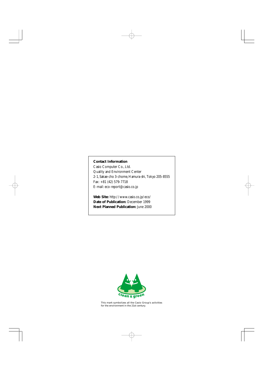### **Contact Information**

Casio Computer Co., Ltd. Quality and Environment Center 2-1, Sakae-cho 3-chome, Hamura-shi, Tokyo 205-8555 Fax: +81 (42) 579-7718 E-mail: eco-report@casio.co.jp

**Web Site:** http://www.casio.co.jp/eco/ **Date of Publication:** December 1999 **Next Planned Publication:** June 2000



This mark symbolizes all the Casio Group's activities for the environment in the 21st century.